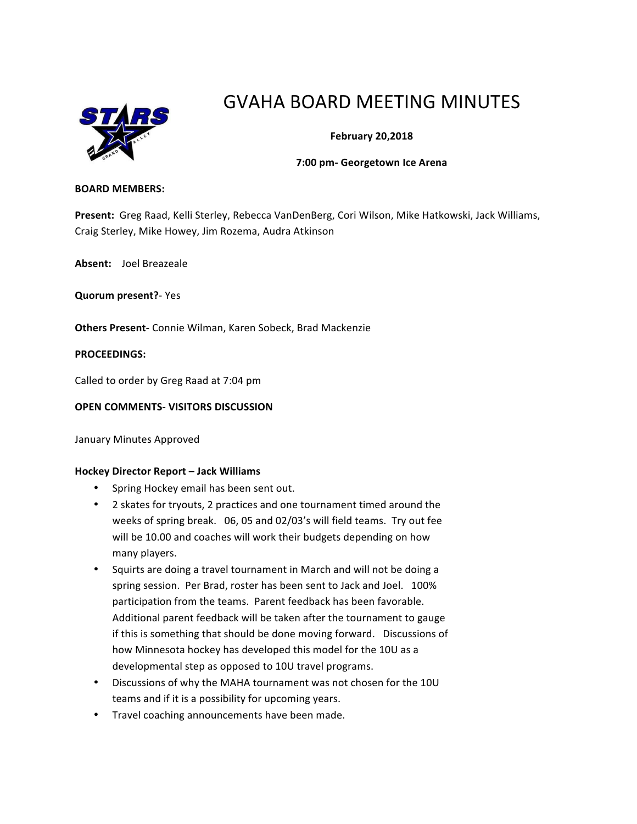

# GVAHA BOARD MEETING MINUTES

# **February 20,2018**

### **7:00 pm- Georgetown Ice Arena**

#### **BOARD MEMBERS:**

Present: Greg Raad, Kelli Sterley, Rebecca VanDenBerg, Cori Wilson, Mike Hatkowski, Jack Williams, Craig Sterley, Mike Howey, Jim Rozema, Audra Atkinson

Absent: Joel Breazeale

**Quorum present?**- Yes

**Others Present-** Connie Wilman, Karen Sobeck, Brad Mackenzie

### **PROCEEDINGS:**

Called to order by Greg Raad at 7:04 pm

## **OPEN COMMENTS- VISITORS DISCUSSION**

January Minutes Approved

#### **Hockey Director Report – Jack Williams**

- Spring Hockey email has been sent out.
- 2 skates for tryouts, 2 practices and one tournament timed around the weeks of spring break. 06, 05 and 02/03's will field teams. Try out fee will be 10.00 and coaches will work their budgets depending on how many players.
- Squirts are doing a travel tournament in March and will not be doing a spring session. Per Brad, roster has been sent to Jack and Joel. 100% participation from the teams. Parent feedback has been favorable. Additional parent feedback will be taken after the tournament to gauge if this is something that should be done moving forward. Discussions of how Minnesota hockey has developed this model for the 10U as a developmental step as opposed to 10U travel programs.
- Discussions of why the MAHA tournament was not chosen for the 10U teams and if it is a possibility for upcoming years.
- Travel coaching announcements have been made.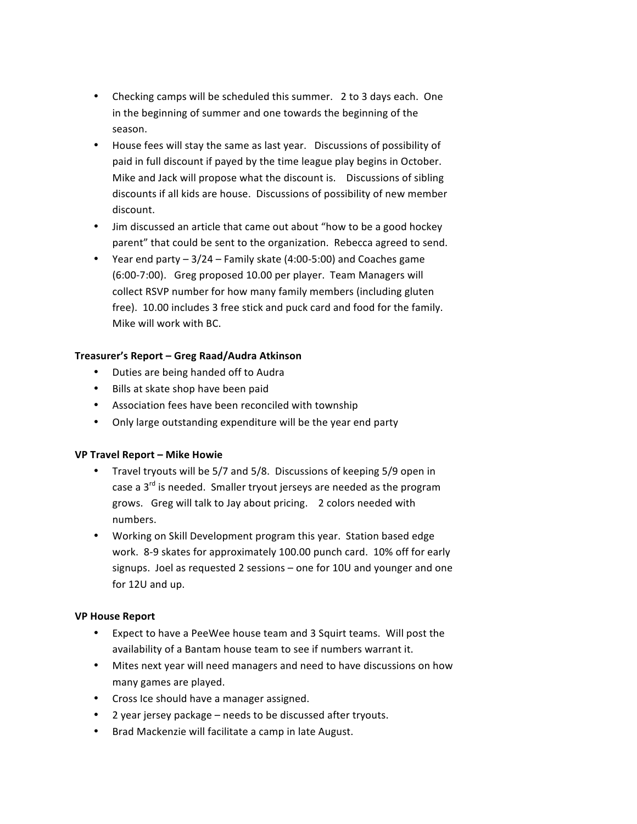- Checking camps will be scheduled this summer. 2 to 3 days each. One in the beginning of summer and one towards the beginning of the season.
- House fees will stay the same as last year. Discussions of possibility of paid in full discount if payed by the time league play begins in October. Mike and Jack will propose what the discount is. Discussions of sibling discounts if all kids are house. Discussions of possibility of new member discount.
- Jim discussed an article that came out about "how to be a good hockey parent" that could be sent to the organization. Rebecca agreed to send.
- Year end party  $-3/24$  Family skate (4:00-5:00) and Coaches game (6:00-7:00). Greg proposed 10.00 per player. Team Managers will collect RSVP number for how many family members (including gluten free). 10.00 includes 3 free stick and puck card and food for the family. Mike will work with BC.

# **Treasurer's Report – Greg Raad/Audra Atkinson**

- Duties are being handed off to Audra
- Bills at skate shop have been paid
- Association fees have been reconciled with township
- Only large outstanding expenditure will be the year end party

# **VP Travel Report – Mike Howie**

- Travel tryouts will be 5/7 and 5/8. Discussions of keeping 5/9 open in case a  $3<sup>rd</sup>$  is needed. Smaller tryout jerseys are needed as the program grows. Greg will talk to Jay about pricing. 2 colors needed with numbers.
- Working on Skill Development program this year. Station based edge work. 8-9 skates for approximately 100.00 punch card. 10% off for early signups. Joel as requested 2 sessions – one for 10U and younger and one for 12U and up.

# **VP House Report**

- Expect to have a PeeWee house team and 3 Squirt teams. Will post the availability of a Bantam house team to see if numbers warrant it.
- Mites next year will need managers and need to have discussions on how many games are played.
- Cross Ice should have a manager assigned.
- 2 year jersey package needs to be discussed after tryouts.
- Brad Mackenzie will facilitate a camp in late August.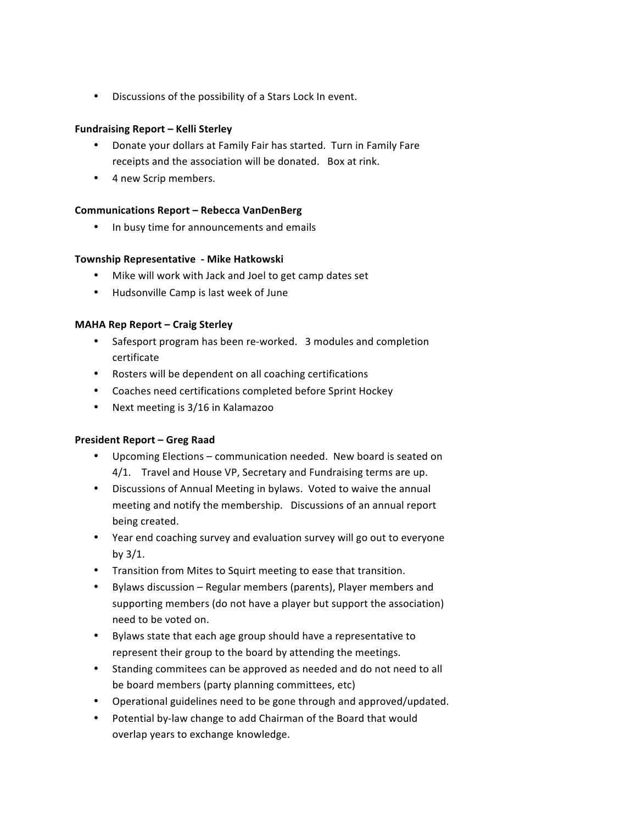• Discussions of the possibility of a Stars Lock In event.

# **Fundraising Report – Kelli Sterley**

- Donate your dollars at Family Fair has started. Turn in Family Fare receipts and the association will be donated. Box at rink.
- 4 new Scrip members.

## **Communications Report – Rebecca VanDenBerg**

• In busy time for announcements and emails

### **Township Representative - Mike Hatkowski**

- Mike will work with Jack and Joel to get camp dates set
- Hudsonville Camp is last week of June

### **MAHA Rep Report – Craig Sterley**

- Safesport program has been re-worked. 3 modules and completion certificate
- Rosters will be dependent on all coaching certifications
- Coaches need certifications completed before Sprint Hockey
- Next meeting is 3/16 in Kalamazoo

# **President Report – Greg Raad**

- Upcoming Elections communication needed. New board is seated on 4/1. Travel and House VP, Secretary and Fundraising terms are up.
- Discussions of Annual Meeting in bylaws. Voted to waive the annual meeting and notify the membership. Discussions of an annual report being created.
- Year end coaching survey and evaluation survey will go out to everyone by  $3/1$ .
- Transition from Mites to Squirt meeting to ease that transition.
- Bylaws discussion Regular members (parents), Player members and supporting members (do not have a player but support the association) need to be voted on.
- Bylaws state that each age group should have a representative to represent their group to the board by attending the meetings.
- Standing commitees can be approved as needed and do not need to all be board members (party planning committees, etc)
- Operational guidelines need to be gone through and approved/updated.
- Potential by-law change to add Chairman of the Board that would overlap years to exchange knowledge.